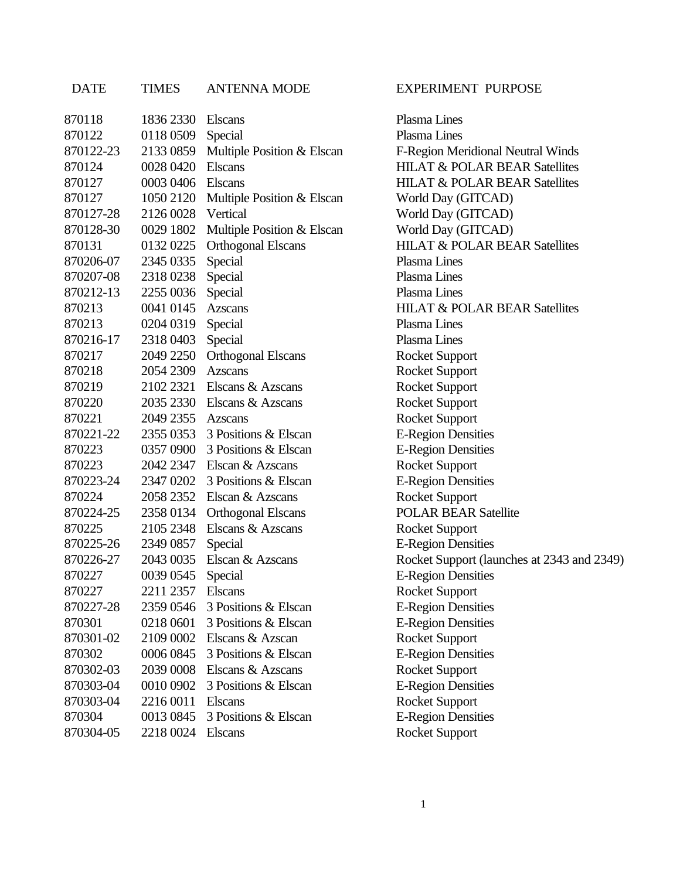## 870118 1836 2330 Elscans Plasma Lines 870122 0118 0509 Special Plasma Lines 870122-23 2133 0859 Multiple Position & Elscan F-Region Meridional Neutral Winds 870124 0028 0420 Elscans HILAT & POLAR BEAR Satellites 870127 0003 0406 Elscans HILAT & POLAR BEAR Satellites 870127 1050 2120 Multiple Position & Elscan World Day (GITCAD) 870127-28 2126 0028 Vertical World Day (GITCAD) 870128-30 0029 1802 Multiple Position & Elscan World Day (GITCAD) 870131 0132 0225 Orthogonal Elscans HILAT & POLAR BEAR Satellites 870206-07 2345 0335 Special Plasma Lines 870207-08 2318 0238 Special Plasma Lines 870212-13 2255 0036 Special Plasma Lines 870213 0041 0145 Azscans HILAT & POLAR BEAR Satellites 870213 0204 0319 Special Plasma Lines 870216-17 2318 0403 Special Plasma Lines 870217 2049 2250 Orthogonal Elscans Rocket Support 870218 2054 2309 Azscans Rocket Support 870219 2102 2321 Elscans & Azscans Rocket Support 870220 2035 2330 Elscans & Azscans Rocket Support 870221 2049 2355 Azscans Rocket Support 870221-22 2355 0353 3 Positions & Elscan E-Region Densities 870223 0357 0900 3 Positions & Elscan E-Region Densities 870223 2042 2347 Elscan & Azscans Rocket Support 870223-24 2347 0202 3 Positions & Elscan E-Region Densities 870224 2058 2352 Elscan & Azscans Rocket Support 870224-25 2358 0134 Orthogonal Elscans POLAR BEAR Satellite 870225 2105 2348 Elscans & Azscans Rocket Support 870225-26 2349 0857 Special E-Region Densities 870226-27 2043 0035 Elscan & Azscans Rocket Support (launches at 2343 and 2349) 870227 0039 0545 Special E-Region Densities 870227 2211 2357 Elscans Rocket Support 870227-28 2359 0546 3 Positions & Elscan E-Region Densities 870301 0218 0601 3 Positions & Elscan E-Region Densities 870301-02 2109 0002 Elscans & Azscan Rocket Support 870302 0006 0845 3 Positions & Elscan E-Region Densities 870302-03 2039 0008 Elscans & Azscans Rocket Support 870303-04 0010 0902 3 Positions & Elscan E-Region Densities 870303-04 2216 0011 Elscans Rocket Support 870304 0013 0845 3 Positions & Elscan E-Region Densities

DATE TIMES ANTENNA MODE EXPERIMENT PURPOSE

870304-05 2218 0024 Elscans Rocket Support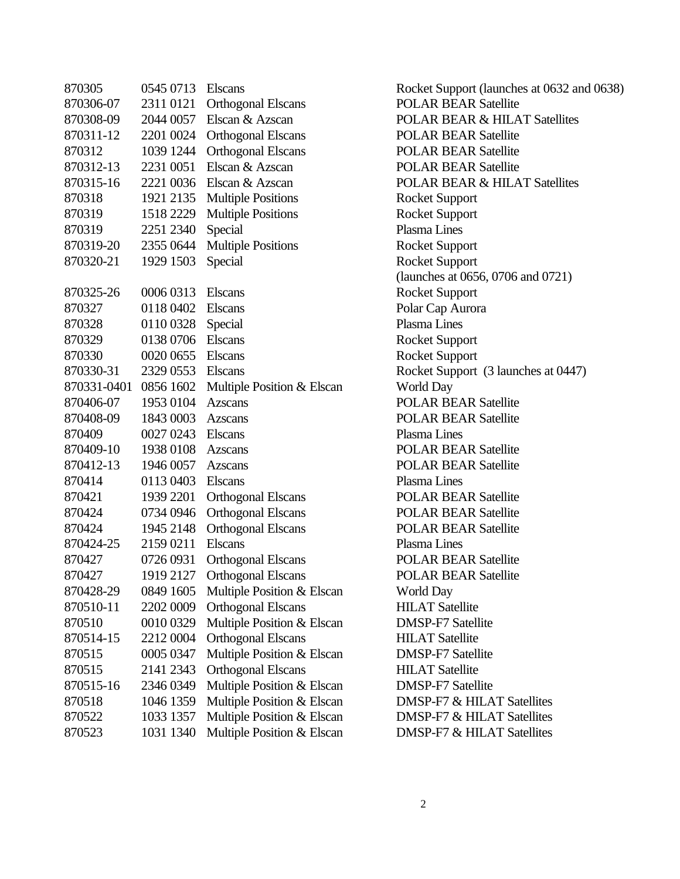| 870305      | 0545 0713 | <b>Elscans</b>             |
|-------------|-----------|----------------------------|
| 870306-07   | 2311 0121 | <b>Orthogonal Elscans</b>  |
| 870308-09   | 2044 0057 | Elscan & Azscan            |
| 870311-12   | 2201 0024 | <b>Orthogonal Elscans</b>  |
| 870312      | 1039 1244 | <b>Orthogonal Elscans</b>  |
| 870312-13   | 2231 0051 | Elscan & Azscan            |
| 870315-16   | 2221 0036 | Elscan & Azscan            |
| 870318      | 1921 2135 | <b>Multiple Positions</b>  |
| 870319      | 1518 2229 | <b>Multiple Positions</b>  |
| 870319      | 2251 2340 | Special                    |
| 870319-20   | 2355 0644 | <b>Multiple Positions</b>  |
| 870320-21   | 1929 1503 | Special                    |
|             |           |                            |
| 870325-26   | 0006 0313 | <b>Elscans</b>             |
| 870327      | 0118 0402 | <b>Elscans</b>             |
| 870328      | 0110 0328 | Special                    |
| 870329      | 0138 0706 | <b>Elscans</b>             |
| 870330      | 0020 0655 | <b>Elscans</b>             |
| 870330-31   | 2329 0553 | <b>Elscans</b>             |
| 870331-0401 | 0856 1602 | Multiple Position & Elscan |
| 870406-07   | 1953 0104 | <b>Azscans</b>             |
| 870408-09   | 1843 0003 | Azscans                    |
| 870409      | 0027 0243 | <b>Elscans</b>             |
| 870409-10   | 1938 0108 | <b>Azscans</b>             |
| 870412-13   | 1946 0057 | Azscans                    |
| 870414      | 0113 0403 | <b>Elscans</b>             |
| 870421      | 1939 2201 | <b>Orthogonal Elscans</b>  |
| 870424      | 0734 0946 | <b>Orthogonal Elscans</b>  |
| 870424      | 1945 2148 | <b>Orthogonal Elscans</b>  |
| 870424-25   | 2159 0211 | <b>Elscans</b>             |
| 870427      | 0726 0931 | <b>Orthogonal Elscans</b>  |
| 870427      | 1919 2127 | Orthogonal Elscans         |
| 870428-29   | 0849 1605 | Multiple Position & Elscan |
| 870510-11   | 2202 0009 | <b>Orthogonal Elscans</b>  |
| 870510      | 0010 0329 | Multiple Position & Elscan |
| 870514-15   | 2212 0004 | <b>Orthogonal Elscans</b>  |
| 870515      | 0005 0347 | Multiple Position & Elscan |
| 870515      | 2141 2343 | <b>Orthogonal Elscans</b>  |
| 870515-16   | 2346 0349 | Multiple Position & Elscan |
| 870518      | 1046 1359 | Multiple Position & Elscan |
| 870522      | 1033 1357 | Multiple Position & Elscan |
| 870523      | 1031 1340 | Multiple Position & Elscan |

Rocket Support (launches at 0632 and 0638) POLAR BEAR Satellite POLAR BEAR & HILAT Satellites POLAR BEAR Satellite POLAR BEAR Satellite POLAR BEAR Satellite POLAR BEAR & HILAT Satellites Rocket Support Rocket Support Plasma Lines Rocket Support Rocket Support (launches at 0656, 0706 and 0721) Rocket Support Polar Cap Aurora Plasma Lines Rocket Support Rocket Support Rocket Support (3 launches at 0447) World Day POLAR BEAR Satellite POLAR BEAR Satellite Plasma Lines POLAR BEAR Satellite POLAR BEAR Satellite Plasma Lines POLAR BEAR Satellite POLAR BEAR Satellite POLAR BEAR Satellite Plasma Lines POLAR BEAR Satellite POLAR BEAR Satellite World Day **HILAT Satellite DMSP-F7 Satellite** HILAT Satellite **DMSP-F7 Satellite HILAT Satellite DMSP-F7 Satellite** DMSP-F7 & HILAT Satellites DMSP-F7 & HILAT Satellites DMSP-F7 & HILAT Satellites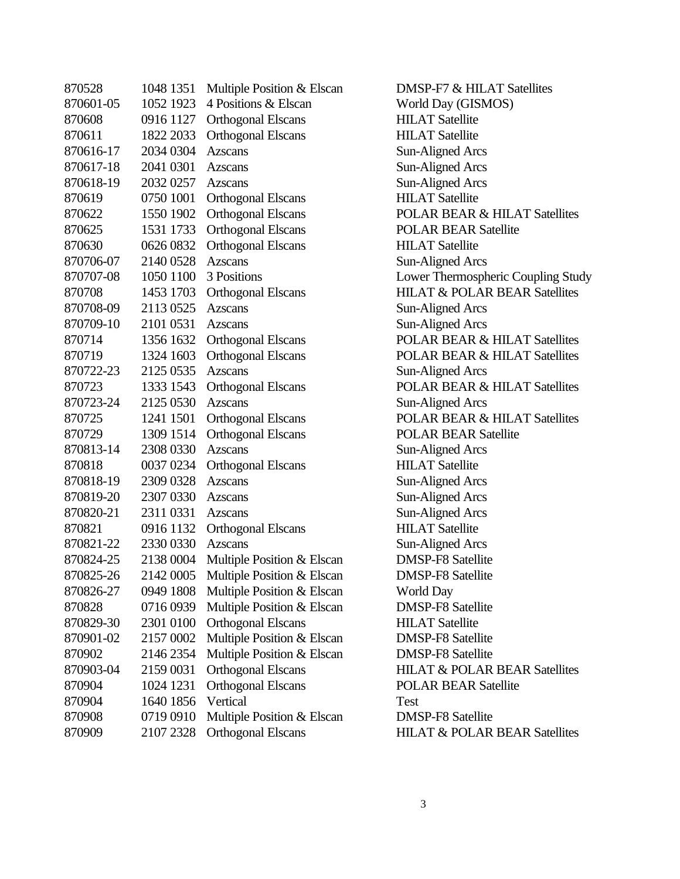| 870528    | 1048 1351 | Multiple Position & Elscan | DM,  |
|-----------|-----------|----------------------------|------|
| 870601-05 | 1052 1923 | 4 Positions & Elscan       | Wor  |
| 870608    | 0916 1127 | <b>Orthogonal Elscans</b>  | HIL. |
| 870611    | 1822 2033 | <b>Orthogonal Elscans</b>  | HIL. |
| 870616-17 | 2034 0304 | <b>Azscans</b>             | Sun- |
| 870617-18 | 2041 0301 | <b>Azscans</b>             | Sun- |
| 870618-19 | 2032 0257 | Azscans                    | Sun- |
| 870619    | 0750 1001 | <b>Orthogonal Elscans</b>  | HIL. |
| 870622    | 1550 1902 | <b>Orthogonal Elscans</b>  | POL  |
| 870625    | 1531 1733 | <b>Orthogonal Elscans</b>  | POL  |
| 870630    | 0626 0832 | <b>Orthogonal Elscans</b>  | HIL. |
| 870706-07 | 2140 0528 | <b>Azscans</b>             | Sun- |
| 870707-08 | 1050 1100 | 3 Positions                | Low  |
| 870708    | 1453 1703 | <b>Orthogonal Elscans</b>  | HIL. |
| 870708-09 | 2113 0525 | <b>Azscans</b>             | Sun- |
| 870709-10 | 2101 0531 | <b>Azscans</b>             | Sun- |
| 870714    | 1356 1632 | <b>Orthogonal Elscans</b>  | POL  |
| 870719    | 1324 1603 | <b>Orthogonal Elscans</b>  | POL  |
| 870722-23 | 2125 0535 | <b>Azscans</b>             | Sun- |
| 870723    | 1333 1543 | <b>Orthogonal Elscans</b>  | POL  |
| 870723-24 | 2125 0530 | <b>Azscans</b>             | Sun- |
| 870725    | 1241 1501 | <b>Orthogonal Elscans</b>  | POL  |
| 870729    | 1309 1514 | <b>Orthogonal Elscans</b>  | POL  |
| 870813-14 | 2308 0330 | <b>Azscans</b>             | Sun- |
| 870818    | 0037 0234 | <b>Orthogonal Elscans</b>  | HIL. |
| 870818-19 | 2309 0328 | <b>Azscans</b>             | Sun- |
| 870819-20 | 2307 0330 | <b>Azscans</b>             | Sun- |
| 870820-21 | 2311 0331 | <b>Azscans</b>             | Sun- |
| 870821    | 0916 1132 | <b>Orthogonal Elscans</b>  | HIL. |
| 870821-22 | 2330 0330 | Azscans                    | Sun- |
| 870824-25 | 2138 0004 | Multiple Position & Elscan | DM,  |
| 870825-26 | 2142 0005 | Multiple Position & Elscan | DM,  |
| 870826-27 | 0949 1808 | Multiple Position & Elscan | Wor  |
| 870828    | 0716 0939 | Multiple Position & Elscan | DM,  |
| 870829-30 | 2301 0100 | <b>Orthogonal Elscans</b>  | HIL. |
| 870901-02 | 2157 0002 | Multiple Position & Elscan | DM,  |
| 870902    | 2146 2354 | Multiple Position & Elscan | DM,  |
| 870903-04 | 2159 0031 | <b>Orthogonal Elscans</b>  | HIL. |
| 870904    | 1024 1231 | <b>Orthogonal Elscans</b>  | POL  |
| 870904    | 1640 1856 | Vertical                   | Test |
| 870908    | 0719 0910 | Multiple Position & Elscan | DM,  |
| 870909    | 2107 2328 | <b>Orthogonal Elscans</b>  | HП.  |
|           |           |                            |      |

DMSP-F7 & HILAT Satellites World Day (GISMOS) **HILAT Satellite HILAT Satellite** Sun-Aligned Arcs Sun-Aligned Arcs Sun-Aligned Arcs **HILAT Satellite** POLAR BEAR & HILAT Satellites POLAR BEAR Satellite **HILAT Satellite** Sun-Aligned Arcs Lower Thermospheric Coupling Study HILAT & POLAR BEAR Satellites Sun-Aligned Arcs Sun-Aligned Arcs POLAR BEAR & HILAT Satellites POLAR BEAR & HILAT Satellites Sun-Aligned Arcs POLAR BEAR & HILAT Satellites Sun-Aligned Arcs POLAR BEAR & HILAT Satellites POLAR BEAR Satellite Sun-Aligned Arcs **HILAT Satellite** Sun-Aligned Arcs Sun-Aligned Arcs Sun-Aligned Arcs **HILAT Satellite** Sun-Aligned Arcs **DMSP-F8 Satellite** DMSP-F8 Satellite World Day **DMSP-F8 Satellite** HILAT Satellite **DMSP-F8 Satellite DMSP-F8 Satellite** HILAT & POLAR BEAR Satellites POLAR BEAR Satellite **DMSP-F8 Satellite HILAT & POLAR BEAR Satellites**